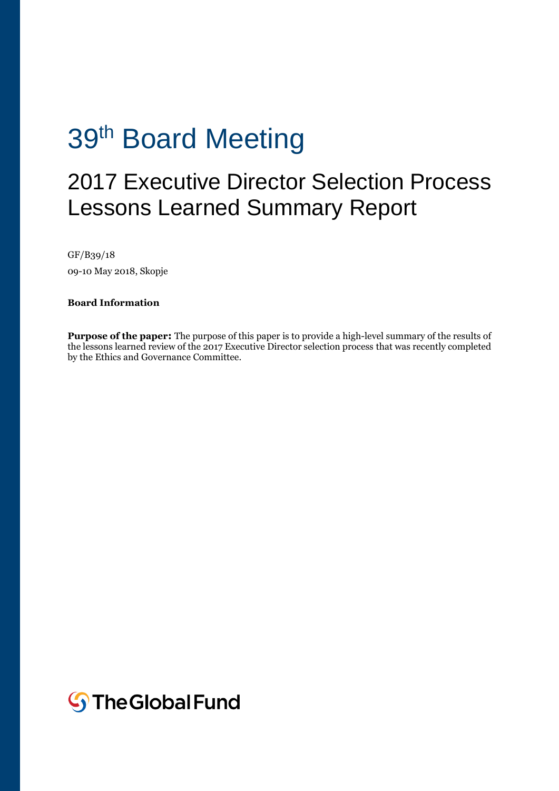# 39<sup>th</sup> Board Meeting

## 2017 Executive Director Selection Process Lessons Learned Summary Report

GF/B39/18 09-10 May 2018, Skopje

**Board Information** 

**Purpose of the paper:** The purpose of this paper is to provide a high-level summary of the results of the lessons learned review of the 2017 Executive Director selection process that was recently completed by the Ethics and Governance Committee.

**S**The Global Fund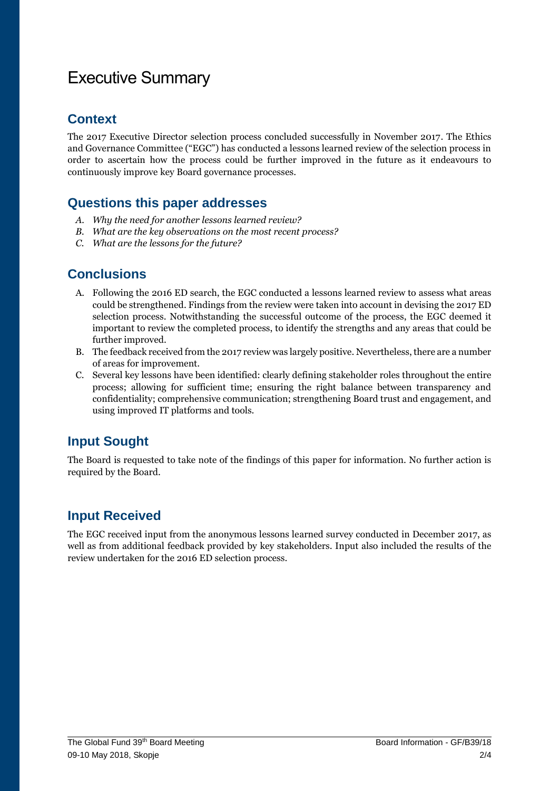### Executive Summary

#### **Context**

The 2017 Executive Director selection process concluded successfully in November 2017. The Ethics and Governance Committee ("EGC") has conducted a lessons learned review of the selection process in order to ascertain how the process could be further improved in the future as it endeavours to continuously improve key Board governance processes.

#### **Questions this paper addresses**

- *A. Why the need for another lessons learned review?*
- *B. What are the key observations on the most recent process?*
- *C. What are the lessons for the future?*

#### **Conclusions**

- A. Following the 2016 ED search, the EGC conducted a lessons learned review to assess what areas could be strengthened. Findings from the review were taken into account in devising the 2017 ED selection process. Notwithstanding the successful outcome of the process, the EGC deemed it important to review the completed process, to identify the strengths and any areas that could be further improved.
- B. The feedback received from the 2017 review was largely positive. Nevertheless, there are a number of areas for improvement.
- C. Several key lessons have been identified: clearly defining stakeholder roles throughout the entire process; allowing for sufficient time; ensuring the right balance between transparency and confidentiality; comprehensive communication; strengthening Board trust and engagement, and using improved IT platforms and tools.

#### **Input Sought**

The Board is requested to take note of the findings of this paper for information. No further action is required by the Board.

#### **Input Received**

The EGC received input from the anonymous lessons learned survey conducted in December 2017, as well as from additional feedback provided by key stakeholders. Input also included the results of the review undertaken for the 2016 ED selection process.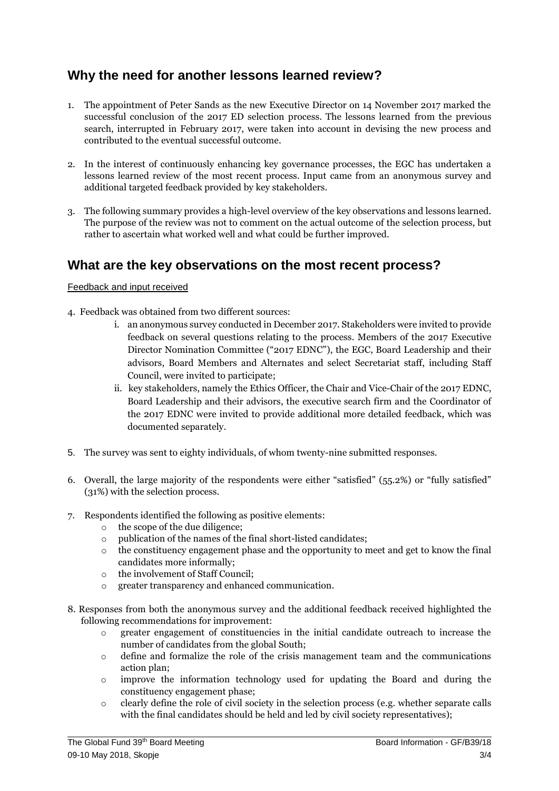#### **Why the need for another lessons learned review?**

- 1. The appointment of Peter Sands as the new Executive Director on 14 November 2017 marked the successful conclusion of the 2017 ED selection process. The lessons learned from the previous search, interrupted in February 2017, were taken into account in devising the new process and contributed to the eventual successful outcome.
- 2. In the interest of continuously enhancing key governance processes, the EGC has undertaken a lessons learned review of the most recent process. Input came from an anonymous survey and additional targeted feedback provided by key stakeholders.
- 3. The following summary provides a high-level overview of the key observations and lessons learned. The purpose of the review was not to comment on the actual outcome of the selection process, but rather to ascertain what worked well and what could be further improved.

#### **What are the key observations on the most recent process?**

#### Feedback and input received

- 4. Feedback was obtained from two different sources:
	- i. an anonymous survey conducted in December 2017. Stakeholders were invited to provide feedback on several questions relating to the process. Members of the 2017 Executive Director Nomination Committee ("2017 EDNC"), the EGC, Board Leadership and their advisors, Board Members and Alternates and select Secretariat staff, including Staff Council, were invited to participate;
	- ii. key stakeholders, namely the Ethics Officer, the Chair and Vice-Chair of the 2017 EDNC, Board Leadership and their advisors, the executive search firm and the Coordinator of the 2017 EDNC were invited to provide additional more detailed feedback, which was documented separately.
- 5. The survey was sent to eighty individuals, of whom twenty-nine submitted responses.
- 6. Overall, the large majority of the respondents were either "satisfied" (55.2%) or "fully satisfied" (31%) with the selection process.
- 7. Respondents identified the following as positive elements:
	- o the scope of the due diligence;
	- o publication of the names of the final short-listed candidates;
	- $\circ$  the constituency engagement phase and the opportunity to meet and get to know the final candidates more informally;
	- o the involvement of Staff Council;
	- greater transparency and enhanced communication.
- 8. Responses from both the anonymous survey and the additional feedback received highlighted the following recommendations for improvement:
	- o greater engagement of constituencies in the initial candidate outreach to increase the number of candidates from the global South;
	- o define and formalize the role of the crisis management team and the communications action plan;
	- o improve the information technology used for updating the Board and during the constituency engagement phase;
	- o clearly define the role of civil society in the selection process (e.g. whether separate calls with the final candidates should be held and led by civil society representatives);